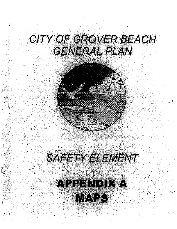## CITY OF GROVER BEACH GENERAL PLAN

## SAFETY ELEMENT

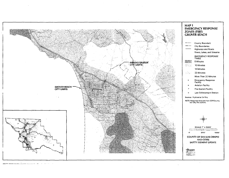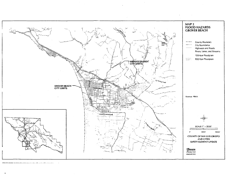

9792-7171 Officers International Income Control of the Community Control .<br>2000 - Jan James Lather et Lanceau de La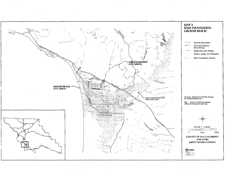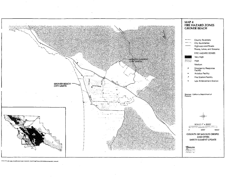

9792-7171, 05-12/00, /picard/slosos/maps/cities/grover\_boach/map07.map, /picard/sloces/maps/plot\_maps.am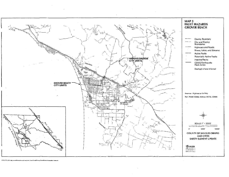

8792-7171, 05/11/00, rpicard/slosioiz/mapa/cities/grover\_beach/map02.map./picard/sloseic/mapa/plot\_maps.am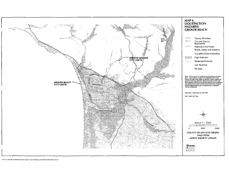